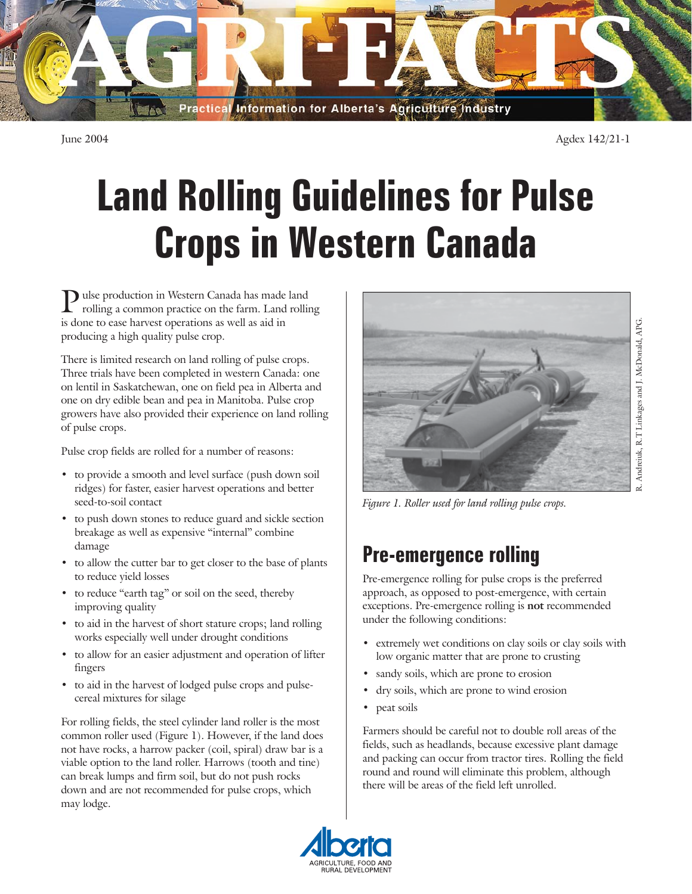

June 2004 Agdex 142/21-1

# **Land Rolling Guidelines for Pulse Crops in Western Canada**

ulse production in Western Canada has made land rolling a common practice on the farm. Land rolling is done to ease harvest operations as well as aid in producing a high quality pulse crop.

There is limited research on land rolling of pulse crops. Three trials have been completed in western Canada: one on lentil in Saskatchewan, one on field pea in Alberta and one on dry edible bean and pea in Manitoba. Pulse crop growers have also provided their experience on land rolling of pulse crops.

Pulse crop fields are rolled for a number of reasons:

- to provide a smooth and level surface (push down soil ridges) for faster, easier harvest operations and better seed-to-soil contact
- to push down stones to reduce guard and sickle section breakage as well as expensive "internal" combine damage
- to allow the cutter bar to get closer to the base of plants to reduce yield losses
- to reduce "earth tag" or soil on the seed, thereby improving quality
- to aid in the harvest of short stature crops; land rolling works especially well under drought conditions
- to allow for an easier adjustment and operation of lifter fingers
- to aid in the harvest of lodged pulse crops and pulsecereal mixtures for silage

For rolling fields, the steel cylinder land roller is the most common roller used (Figure 1). However, if the land does not have rocks, a harrow packer (coil, spiral) draw bar is a viable option to the land roller. Harrows (tooth and tine) can break lumps and firm soil, but do not push rocks down and are not recommended for pulse crops, which may lodge.



*Figure 1. Roller used for land rolling pulse crops.*

# **Pre-emergence rolling**

Pre-emergence rolling for pulse crops is the preferred approach, as opposed to post-emergence, with certain exceptions. Pre-emergence rolling is **not** recommended under the following conditions:

- extremely wet conditions on clay soils or clay soils with low organic matter that are prone to crusting
- sandy soils, which are prone to erosion
- dry soils, which are prone to wind erosion
- peat soils

Farmers should be careful not to double roll areas of the fields, such as headlands, because excessive plant damage and packing can occur from tractor tires. Rolling the field round and round will eliminate this problem, although there will be areas of the field left unrolled.

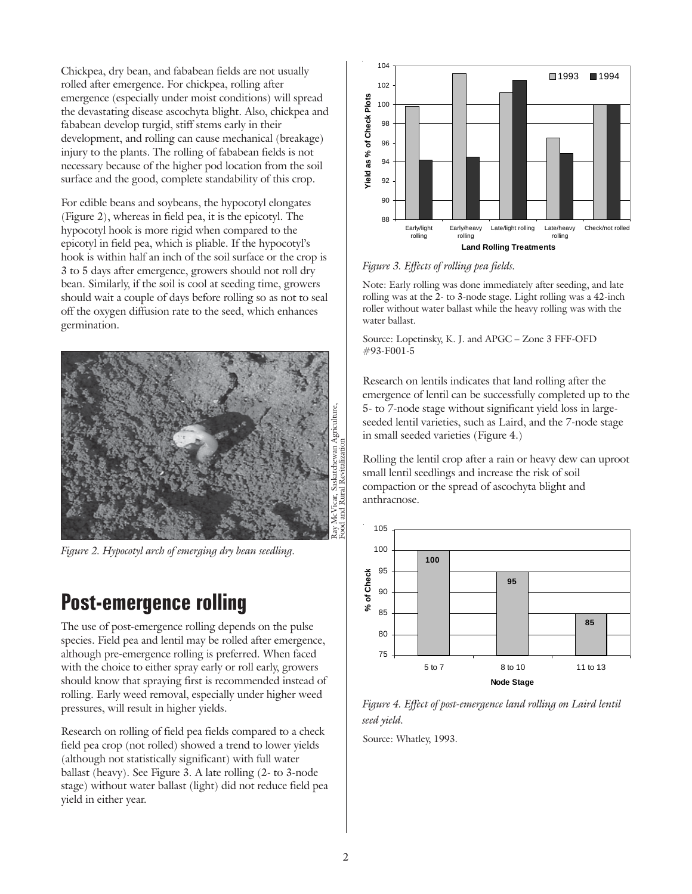Chickpea, dry bean, and fababean fields are not usually rolled after emergence. For chickpea, rolling after emergence (especially under moist conditions) will spread the devastating disease ascochyta blight. Also, chickpea and fababean develop turgid, stiff stems early in their development, and rolling can cause mechanical (breakage) injury to the plants. The rolling of fababean fields is not necessary because of the higher pod location from the soil surface and the good, complete standability of this crop.

For edible beans and soybeans, the hypocotyl elongates (Figure 2), whereas in field pea, it is the epicotyl. The hypocotyl hook is more rigid when compared to the epicotyl in field pea, which is pliable. If the hypocotyl's hook is within half an inch of the soil surface or the crop is 3 to 5 days after emergence, growers should not roll dry bean. Similarly, if the soil is cool at seeding time, growers should wait a couple of days before rolling so as not to seal off the oxygen diffusion rate to the seed, which enhances germination.



*Figure 2. Hypocotyl arch of emerging dry bean seedling.*

## **Post-emergence rolling**

The use of post-emergence rolling depends on the pulse species. Field pea and lentil may be rolled after emergence, although pre-emergence rolling is preferred. When faced with the choice to either spray early or roll early, growers should know that spraying first is recommended instead of rolling. Early weed removal, especially under higher weed pressures, will result in higher yields.

Research on rolling of field pea fields compared to a check field pea crop (not rolled) showed a trend to lower yields (although not statistically significant) with full water ballast (heavy). See Figure 3. A late rolling (2- to 3-node stage) without water ballast (light) did not reduce field pea yield in either year.



*Figure 3. Effects of rolling pea fields.*

Note: Early rolling was done immediately after seeding, and late rolling was at the 2- to 3-node stage. Light rolling was a 42-inch roller without water ballast while the heavy rolling was with the water ballast.

Source: Lopetinsky, K. J. and APGC – Zone 3 FFF-OFD #93-F001-5

Research on lentils indicates that land rolling after the emergence of lentil can be successfully completed up to the 5- to 7-node stage without significant yield loss in largeseeded lentil varieties, such as Laird, and the 7-node stage in small seeded varieties (Figure 4.)

Rolling the lentil crop after a rain or heavy dew can uproot small lentil seedlings and increase the risk of soil compaction or the spread of ascochyta blight and anthracnose.



*Figure 4. Effect of post-emergence land rolling on Laird lentil seed yield.*

Source: Whatley, 1993.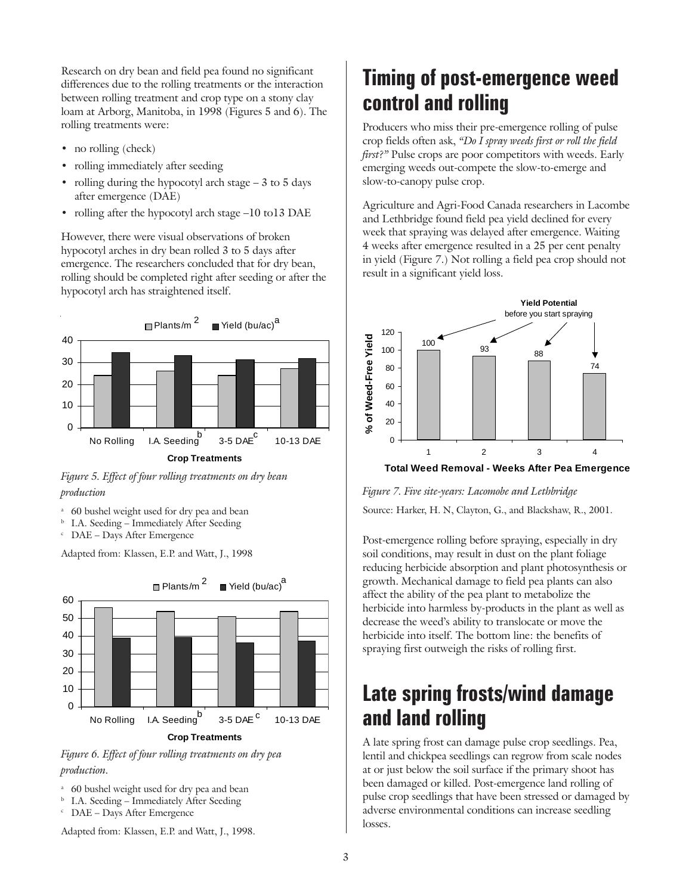Research on dry bean and field pea found no significant differences due to the rolling treatments or the interaction between rolling treatment and crop type on a stony clay loam at Arborg, Manitoba, in 1998 (Figures 5 and 6). The rolling treatments were:

- no rolling (check)
- rolling immediately after seeding
- rolling during the hypocotyl arch stage  $-3$  to 5 days after emergence (DAE)
- rolling after the hypocotyl arch stage -10 to13 DAE

However, there were visual observations of broken hypocotyl arches in dry bean rolled 3 to 5 days after emergence. The researchers concluded that for dry bean, rolling should be completed right after seeding or after the hypocotyl arch has straightened itself.



*Figure 5. Effect of four rolling treatments on dry bean production*

- <sup>a</sup> 60 bushel weight used for dry pea and bean
- **b** I.A. Seeding Immediately After Seeding
- <sup>c</sup> DAE Days After Emergence

Adapted from: Klassen, E.P. and Watt, J., 1998



*Figure 6. Effect of four rolling treatments on dry pea production.*

- <sup>a</sup> 60 bushel weight used for dry pea and bean
- <sup>b</sup> I.A. Seeding Immediately After Seeding
- DAE Days After Emergence

Adapted from: Klassen, E.P. and Watt, J., 1998.

## **Timing of post-emergence weed control and rolling**

Producers who miss their pre-emergence rolling of pulse crop fields often ask, *"Do I spray weeds first or roll the field first?"* Pulse crops are poor competitors with weeds. Early emerging weeds out-compete the slow-to-emerge and slow-to-canopy pulse crop.

Agriculture and Agri-Food Canada researchers in Lacombe and Lethbridge found field pea yield declined for every week that spraying was delayed after emergence. Waiting 4 weeks after emergence resulted in a 25 per cent penalty in yield (Figure 7.) Not rolling a field pea crop should not result in a significant yield loss.



*Figure 7. Five site-years: Lacomobe and Lethbridge* Source: Harker, H. N, Clayton, G., and Blackshaw, R., 2001.

Post-emergence rolling before spraying, especially in dry soil conditions, may result in dust on the plant foliage reducing herbicide absorption and plant photosynthesis or growth. Mechanical damage to field pea plants can also affect the ability of the pea plant to metabolize the herbicide into harmless by-products in the plant as well as decrease the weed's ability to translocate or move the herbicide into itself. The bottom line: the benefits of spraying first outweigh the risks of rolling first.

## **Late spring frosts/wind damage and land rolling**

A late spring frost can damage pulse crop seedlings. Pea, lentil and chickpea seedlings can regrow from scale nodes at or just below the soil surface if the primary shoot has been damaged or killed. Post-emergence land rolling of pulse crop seedlings that have been stressed or damaged by adverse environmental conditions can increase seedling losses.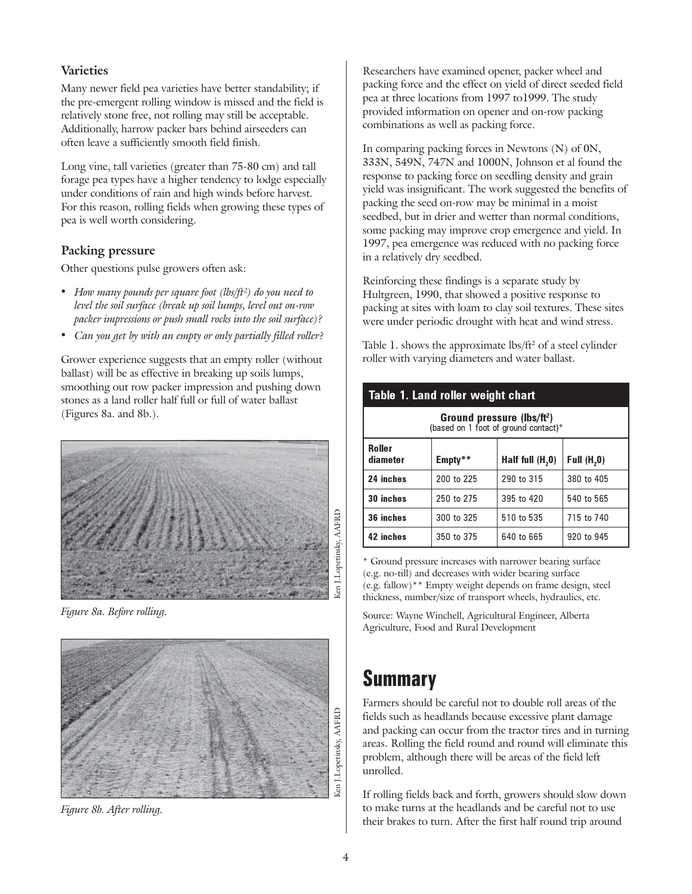#### **Varieties**

Many newer field pea varieties have better standability; if the pre-emergent rolling window is missed and the field is relatively stone free, not rolling may still be acceptable. Additionally, harrow packer bars behind airseeders can often leave a sufficiently smooth field finish.

Long vine, tall varieties (greater than 75-80 cm) and tall forage pea types have a higher tendency to lodge especially under conditions of rain and high winds before harvest. For this reason, rolling fields when growing these types of pea is well worth considering.

#### **Packing pressure**

Other questions pulse growers often ask:

- *How many pounds per square foot (lbs/ft²) do you need to level the soil surface (break up soil lumps, level out on-row packer impressions or push small rocks into the soil surface)?*
- *Can you get by with an empty or only partially filled roller?*

Grower experience suggests that an empty roller (without ballast) will be as effective in breaking up soils lumps, smoothing out row packer impression and pushing down stones as a land roller half full or full of water ballast (Figures 8a. and 8b.).



*Figure 8a. Before rolling.*



*Figure 8b. After rolling.*

Researchers have examined opener, packer wheel and packing force and the effect on yield of direct seeded field pea at three locations from 1997 to1999. The study provided information on opener and on-row packing combinations as well as packing force.

In comparing packing forces in Newtons (N) of 0N, 333N, 549N, 747N and 1000N, Johnson et al found the response to packing force on seedling density and grain yield was insignificant. The work suggested the benefits of packing the seed on-row may be minimal in a moist seedbed, but in drier and wetter than normal conditions, some packing may improve crop emergence and yield. In 1997, pea emergence was reduced with no packing force in a relatively dry seedbed.

Reinforcing these findings is a separate study by Hultgreen, 1990, that showed a positive response to packing at sites with loam to clay soil textures. These sites were under periodic drought with heat and wind stress.

Table 1. shows the approximate lbs/ft<sup>2</sup> of a steel cylinder roller with varying diameters and water ballast.

| Table 1. Land roller weight chart                                              |            |                    |               |
|--------------------------------------------------------------------------------|------------|--------------------|---------------|
| Ground pressure (lbs/ft <sup>2</sup> )<br>(based on 1 foot of ground contact)* |            |                    |               |
| <b>Roller</b><br>diameter                                                      | Empty**    | Half full $(H, 0)$ | Full $(H, 0)$ |
| 24 inches                                                                      | 200 to 225 | 290 to 315         | 380 to 405    |
| 30 inches                                                                      | 250 to 275 | 395 to 420         | 540 to 565    |
| 36 inches                                                                      | 300 to 325 | 510 to 535         | 715 to 740    |
| 42 inches                                                                      | 350 to 375 | 640 to 665         | 920 to 945    |

\* Ground pressure increases with narrower bearing surface (e.g. no-till) and decreases with wider bearing surface (e.g. fallow)\*\* Empty weight depends on frame design, steel thickness, number/size of transport wheels, hydraulics, etc.

Source: Wayne Winchell, Agricultural Engineer, Alberta Agriculture, Food and Rural Development

### **Summary**

Farmers should be careful not to double roll areas of the fields such as headlands because excessive plant damage and packing can occur from the tractor tires and in turning areas. Rolling the field round and round will eliminate this problem, although there will be areas of the field left unrolled.

If rolling fields back and forth, growers should slow down to make turns at the headlands and be careful not to use their brakes to turn. After the first half round trip around